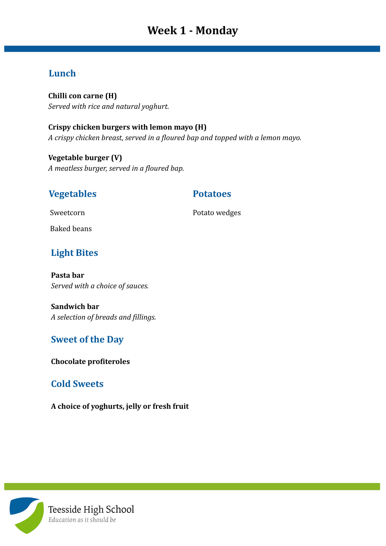# **Week 1 - Monday**

#### **Lunch**

**Chilli con carne (H)** *Served with rice and natural yoghurt.*

**Crispy chicken burgers with lemon mayo (H)** *A crispy chicken breast, served in a floured bap and topped with a lemon mayo.*

**Vegetable burger (V)** *A meatless burger, served in a floured bap.*

### **Vegetables Potatoes**

Sweetcorn **Potato wedges** 

Baked beans

## **Light Bites**

**Pasta bar** *Served with a choice of sauces.*

**Sandwich bar** *A selection of breads and fillings.*

### **Sweet of the Day**

**Chocolate profiteroles**

### **Cold Sweets**

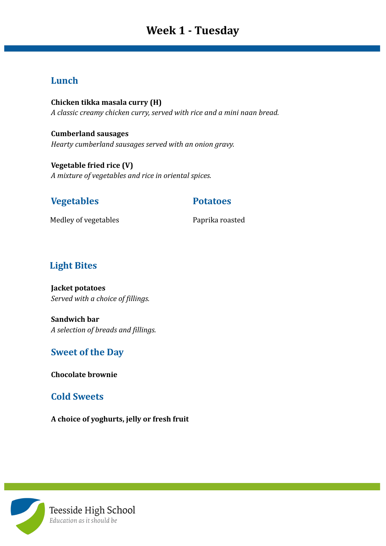# **Week 1 - Tuesday**

#### **Lunch**

**Chicken tikka masala curry (H)** *A classic creamy chicken curry, served with rice and a mini naan bread.*

**Cumberland sausages** *Hearty cumberland sausages served with an onion gravy.*

**Vegetable fried rice (V)** *A mixture of vegetables and rice in oriental spices.*

#### **Vegetables Potatoes**

Medley of vegetables **Paprika roasted** 

### **Light Bites**

**Jacket potatoes** *Served with a choice of fillings.*

**Sandwich bar** *A selection of breads and fillings.*

#### **Sweet of the Day**

**Chocolate brownie**

#### **Cold Sweets**

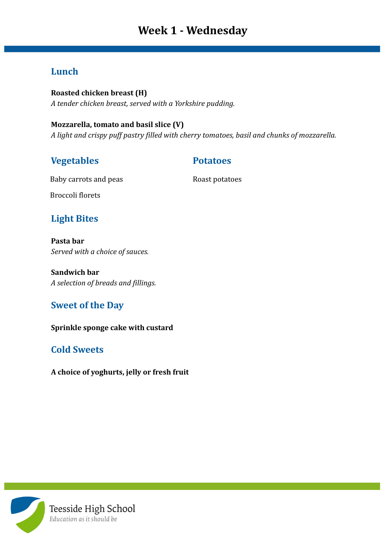# **Week 1 - Wednesday**

#### **Lunch**

**Roasted chicken breast (H)** *A tender chicken breast, served with a Yorkshire pudding.*

#### **Mozzarella, tomato and basil slice (V)**

*A light and crispy puff pastry filled with cherry tomatoes, basil and chunks of mozzarella.*

#### **Vegetables Potatoes**

Baby carrots and peas Roast potatoes

Broccoli florets

## **Light Bites**

**Pasta bar** *Served with a choice of sauces.*

**Sandwich bar** *A selection of breads and fillings.*

### **Sweet of the Day**

**Sprinkle sponge cake with custard**

## **Cold Sweets**

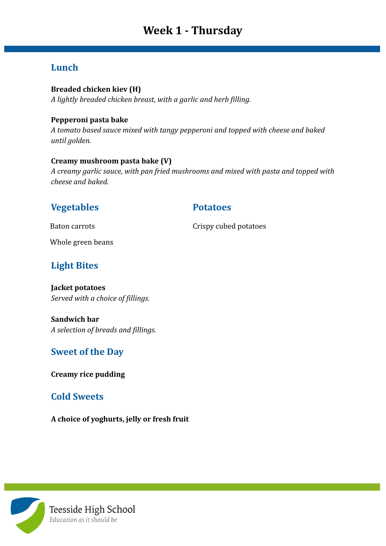# **Week 1 - Thursday**

## **Lunch**

#### **Breaded chicken kiev (H)**

*A lightly breaded chicken breast, with a garlic and herb filling.*

#### **Pepperoni pasta bake**

*A tomato based sauce mixed with tangy pepperoni and topped with cheese and baked until golden.*

#### **Creamy mushroom pasta bake (V)**

*A creamy garlic sauce, with pan fried mushrooms and mixed with pasta and topped with cheese and baked.*

### **Vegetables Potatoes**

Baton carrots Crispy cubed potatoes

Whole green beans

## **Light Bites**

**Jacket potatoes** *Served with a choice of fillings.*

**Sandwich bar** *A selection of breads and fillings.*

### **Sweet of the Day**

**Creamy rice pudding**

#### **Cold Sweets**